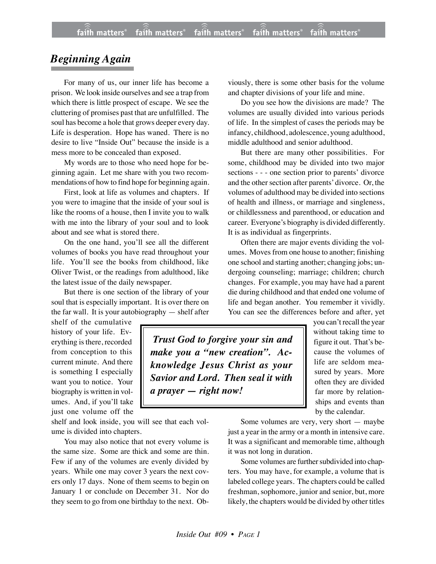## *Beginning Again*

For many of us, our inner life has become a prison. We look inside ourselves and see a trap from which there is little prospect of escape. We see the cluttering of promises past that are unfulfilled. The soul has become a hole that grows deeper every day. Life is desperation. Hope has waned. There is no desire to live "Inside Out" because the inside is a mess more to be concealed than exposed.

My words are to those who need hope for beginning again. Let me share with you two recommendations of how to find hope for beginning again.

First, look at life as volumes and chapters. If you were to imagine that the inside of your soul is like the rooms of a house, then I invite you to walk with me into the library of your soul and to look about and see what is stored there.

On the one hand, you'll see all the different volumes of books you have read throughout your life. You'll see the books from childhood, like Oliver Twist, or the readings from adulthood, like the latest issue of the daily newspaper.

But there is one section of the library of your soul that is especially important. It is over there on the far wall. It is your autobiography — shelf after

shelf of the cumulative history of your life. Everything is there, recorded from conception to this current minute. And there is something I especially want you to notice. Your biography is written in volumes. And, if you'll take just one volume off the

shelf and look inside, you will see that each volume is divided into chapters.

You may also notice that not every volume is the same size. Some are thick and some are thin. Few if any of the volumes are evenly divided by years. While one may cover 3 years the next covers only 17 days. None of them seems to begin on January 1 or conclude on December 31. Nor do they seem to go from one birthday to the next. Obviously, there is some other basis for the volume and chapter divisions of your life and mine.

Do you see how the divisions are made? The volumes are usually divided into various periods of life. In the simplest of cases the periods may be infancy, childhood, adolescence, young adulthood, middle adulthood and senior adulthood.

But there are many other possibilities. For some, childhood may be divided into two major sections - - - one section prior to parents' divorce and the other section after parents' divorce. Or, the volumes of adulthood may be divided into sections of health and illness, or marriage and singleness, or childlessness and parenthood, or education and career. Everyone's biography is divided differently. It is as individual as fingerprints.

Often there are major events dividing the volumes. Moves from one house to another; finishing one school and starting another; changing jobs; undergoing counseling; marriage; children; church changes. For example, you may have had a parent die during childhood and that ended one volume of life and began another. You remember it vividly. You can see the differences before and after, yet

 *Trust God to forgive your sin and make you a "new creation". Acknowledge Jesus Christ as your Savior and Lord. Then seal it with a prayer — right now!*

you can't recall the year without taking time to figure it out. That's because the volumes of life are seldom measured by years. More often they are divided far more by relationships and events than by the calendar.

Some volumes are very, very short — maybe just a year in the army or a month in intensive care. It was a significant and memorable time, although it was not long in duration.

Some volumes are further subdivided into chapters. You may have, for example, a volume that is labeled college years. The chapters could be called freshman, sophomore, junior and senior, but, more likely, the chapters would be divided by other titles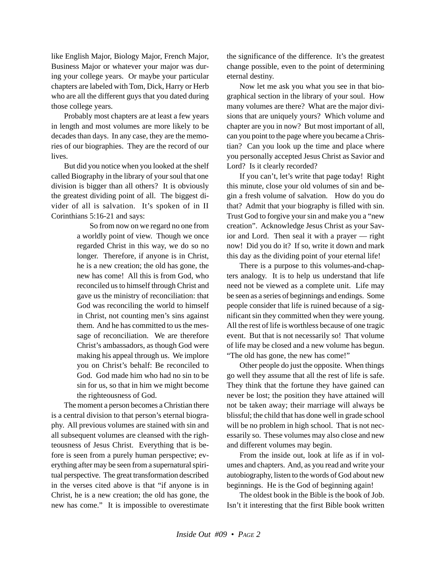like English Major, Biology Major, French Major, Business Major or whatever your major was during your college years. Or maybe your particular chapters are labeled with Tom, Dick, Harry or Herb who are all the different guys that you dated during those college years.

Probably most chapters are at least a few years in length and most volumes are more likely to be decades than days. In any case, they are the memories of our biographies. They are the record of our lives.

But did you notice when you looked at the shelf called Biography in the library of your soul that one division is bigger than all others? It is obviously the greatest dividing point of all. The biggest divider of all is salvation. It's spoken of in II Corinthians 5:16-21 and says:

> So from now on we regard no one from a worldly point of view. Though we once regarded Christ in this way, we do so no longer. Therefore, if anyone is in Christ, he is a new creation; the old has gone, the new has come! All this is from God, who reconciled us to himself through Christ and gave us the ministry of reconciliation: that God was reconciling the world to himself in Christ, not counting men's sins against them. And he has committed to us the message of reconciliation. We are therefore Christ's ambassadors, as though God were making his appeal through us. We implore you on Christ's behalf: Be reconciled to God. God made him who had no sin to be sin for us, so that in him we might become the righteousness of God.

The moment a person becomes a Christian there is a central division to that person's eternal biography. All previous volumes are stained with sin and all subsequent volumes are cleansed with the righteousness of Jesus Christ. Everything that is before is seen from a purely human perspective; everything after may be seen from a supernatural spiritual perspective. The great transformation described in the verses cited above is that "if anyone is in Christ, he is a new creation; the old has gone, the new has come." It is impossible to overestimate the significance of the difference. It's the greatest change possible, even to the point of determining eternal destiny.

Now let me ask you what you see in that biographical section in the library of your soul. How many volumes are there? What are the major divisions that are uniquely yours? Which volume and chapter are you in now? But most important of all, can you point to the page where you became a Christian? Can you look up the time and place where you personally accepted Jesus Christ as Savior and Lord? Is it clearly recorded?

If you can't, let's write that page today! Right this minute, close your old volumes of sin and begin a fresh volume of salvation. How do you do that? Admit that your biography is filled with sin. Trust God to forgive your sin and make you a "new creation". Acknowledge Jesus Christ as your Savior and Lord. Then seal it with a prayer — right now! Did you do it? If so, write it down and mark this day as the dividing point of your eternal life!

There is a purpose to this volumes-and-chapters analogy. It is to help us understand that life need not be viewed as a complete unit. Life may be seen as a series of beginnings and endings. Some people consider that life is ruined because of a significant sin they committed when they were young. All the rest of life is worthless because of one tragic event. But that is not necessarily so! That volume of life may be closed and a new volume has begun. "The old has gone, the new has come!"

Other people do just the opposite. When things go well they assume that all the rest of life is safe. They think that the fortune they have gained can never be lost; the position they have attained will not be taken away; their marriage will always be blissful; the child that has done well in grade school will be no problem in high school. That is not necessarily so. These volumes may also close and new and different volumes may begin.

From the inside out, look at life as if in volumes and chapters. And, as you read and write your autobiography, listen to the words of God about new beginnings. He is the God of beginning again!

The oldest book in the Bible is the book of Job. Isn't it interesting that the first Bible book written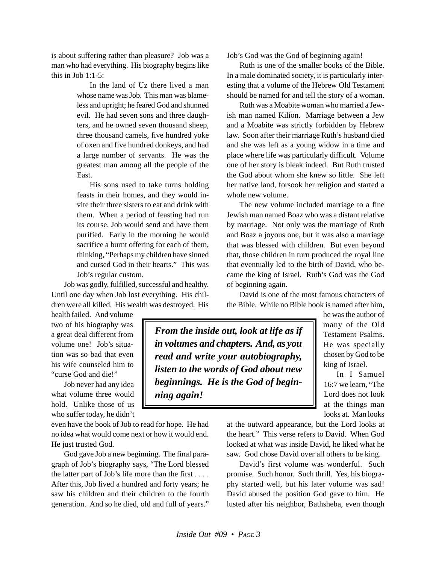is about suffering rather than pleasure? Job was a man who had everything. His biography begins like this in Job  $1:1-5$ :

> In the land of Uz there lived a man whose name was Job. This man was blameless and upright; he feared God and shunned evil. He had seven sons and three daughters, and he owned seven thousand sheep, three thousand camels, five hundred yoke of oxen and five hundred donkeys, and had a large number of servants. He was the greatest man among all the people of the East.

> His sons used to take turns holding feasts in their homes, and they would invite their three sisters to eat and drink with them. When a period of feasting had run its course, Job would send and have them purified. Early in the morning he would sacrifice a burnt offering for each of them, thinking, "Perhaps my children have sinned and cursed God in their hearts." This was Job's regular custom.

Job was godly, fulfilled, successful and healthy. Until one day when Job lost everything. His children were all killed. His wealth was destroyed. His

health failed. And volume two of his biography was a great deal different from volume one! Job's situation was so bad that even his wife counseled him to "curse God and die!"

Job never had any idea what volume three would hold. Unlike those of us who suffer today, he didn't

even have the book of Job to read for hope. He had no idea what would come next or how it would end. He just trusted God.

God gave Job a new beginning. The final paragraph of Job's biography says, "The Lord blessed the latter part of Job's life more than the first . . . . After this, Job lived a hundred and forty years; he saw his children and their children to the fourth generation. And so he died, old and full of years."

Job's God was the God of beginning again!

Ruth is one of the smaller books of the Bible. In a male dominated society, it is particularly interesting that a volume of the Hebrew Old Testament should be named for and tell the story of a woman.

Ruth was a Moabite woman who married a Jewish man named Kilion. Marriage between a Jew and a Moabite was strictly forbidden by Hebrew law. Soon after their marriage Ruth's husband died and she was left as a young widow in a time and place where life was particularly difficult. Volume one of her story is bleak indeed. But Ruth trusted the God about whom she knew so little. She left her native land, forsook her religion and started a whole new volume.

The new volume included marriage to a fine Jewish man named Boaz who was a distant relative by marriage. Not only was the marriage of Ruth and Boaz a joyous one, but it was also a marriage that was blessed with children. But even beyond that, those children in turn produced the royal line that eventually led to the birth of David, who became the king of Israel. Ruth's God was the God of beginning again.

David is one of the most famous characters of the Bible. While no Bible book is named after him,

*From the inside out, look at life as if in volumes and chapters. And, as you read and write your autobiography, listen to the words of God about new beginnings. He is the God of beginning again!*

he was the author of many of the Old Testament Psalms. He was specially chosen by God to be king of Israel.

In I Samuel 16:7 we learn, "The Lord does not look at the things man looks at. Man looks

at the outward appearance, but the Lord looks at the heart." This verse refers to David. When God looked at what was inside David, he liked what he saw. God chose David over all others to be king.

David's first volume was wonderful. Such promise. Such honor. Such thrill. Yes, his biography started well, but his later volume was sad! David abused the position God gave to him. He lusted after his neighbor, Bathsheba, even though